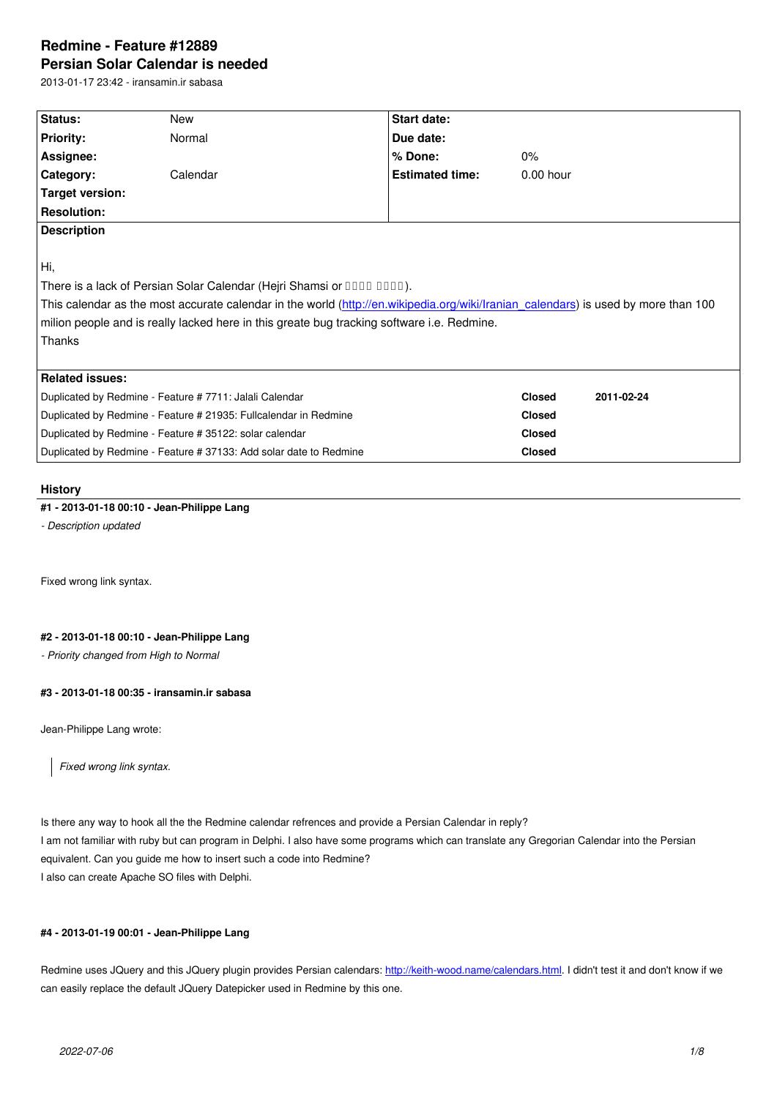#### **Persian Solar Calendar is needed**

2013-01-17 23:42 - iransamin.ir sabasa

| <b>Status:</b>                                                                                                                     | New      |  | Start date:            |               |  |  |
|------------------------------------------------------------------------------------------------------------------------------------|----------|--|------------------------|---------------|--|--|
| <b>Priority:</b>                                                                                                                   | Normal   |  | Due date:              |               |  |  |
| <b>Assignee:</b>                                                                                                                   |          |  | % Done:                | $0\%$         |  |  |
| <b>Category:</b>                                                                                                                   | Calendar |  | <b>Estimated time:</b> | $0.00$ hour   |  |  |
| Target version:                                                                                                                    |          |  |                        |               |  |  |
| <b>Resolution:</b>                                                                                                                 |          |  |                        |               |  |  |
| <b>Description</b>                                                                                                                 |          |  |                        |               |  |  |
|                                                                                                                                    |          |  |                        |               |  |  |
| ∣Hi,                                                                                                                               |          |  |                        |               |  |  |
| There is a lack of Persian Solar Calendar (Hejri Shamsi or DODD DODD).                                                             |          |  |                        |               |  |  |
| This calendar as the most accurate calendar in the world (http://en.wikipedia.org/wiki/Iranian calendars) is used by more than 100 |          |  |                        |               |  |  |
| milion people and is really lacked here in this greate bug tracking software i.e. Redmine.                                         |          |  |                        |               |  |  |
| Thanks                                                                                                                             |          |  |                        |               |  |  |
|                                                                                                                                    |          |  |                        |               |  |  |
| <b>Related issues:</b>                                                                                                             |          |  |                        |               |  |  |
| Duplicated by Redmine - Feature # 7711: Jalali Calendar                                                                            |          |  | <b>Closed</b>          | 2011-02-24    |  |  |
| Duplicated by Redmine - Feature # 21935: Fullcalendar in Redmine                                                                   |          |  |                        | <b>Closed</b> |  |  |
| Duplicated by Redmine - Feature # 35122: solar calendar                                                                            |          |  |                        | <b>Closed</b> |  |  |
| Duplicated by Redmine - Feature # 37133: Add solar date to Redmine                                                                 |          |  | <b>Closed</b>          |               |  |  |

# **History**

# **#1 - 2013-01-18 00:10 - Jean-Philippe Lang**

*- Description updated*

Fixed wrong link syntax.

# **#2 - 2013-01-18 00:10 - Jean-Philippe Lang**

*- Priority changed from High to Normal*

### **#3 - 2013-01-18 00:35 - iransamin.ir sabasa**

Jean-Philippe Lang wrote:

*Fixed wrong link syntax.*

Is there any way to hook all the the Redmine calendar refrences and provide a Persian Calendar in reply? I am not familiar with ruby but can program in Delphi. I also have some programs which can translate any Gregorian Calendar into the Persian equivalent. Can you guide me how to insert such a code into Redmine? I also can create Apache SO files with Delphi.

# **#4 - 2013-01-19 00:01 - Jean-Philippe Lang**

Redmine uses JQuery and this JQuery plugin provides Persian calendars: http://keith-wood.name/calendars.html. I didn't test it and don't know if we can easily replace the default JQuery Datepicker used in Redmine by this one.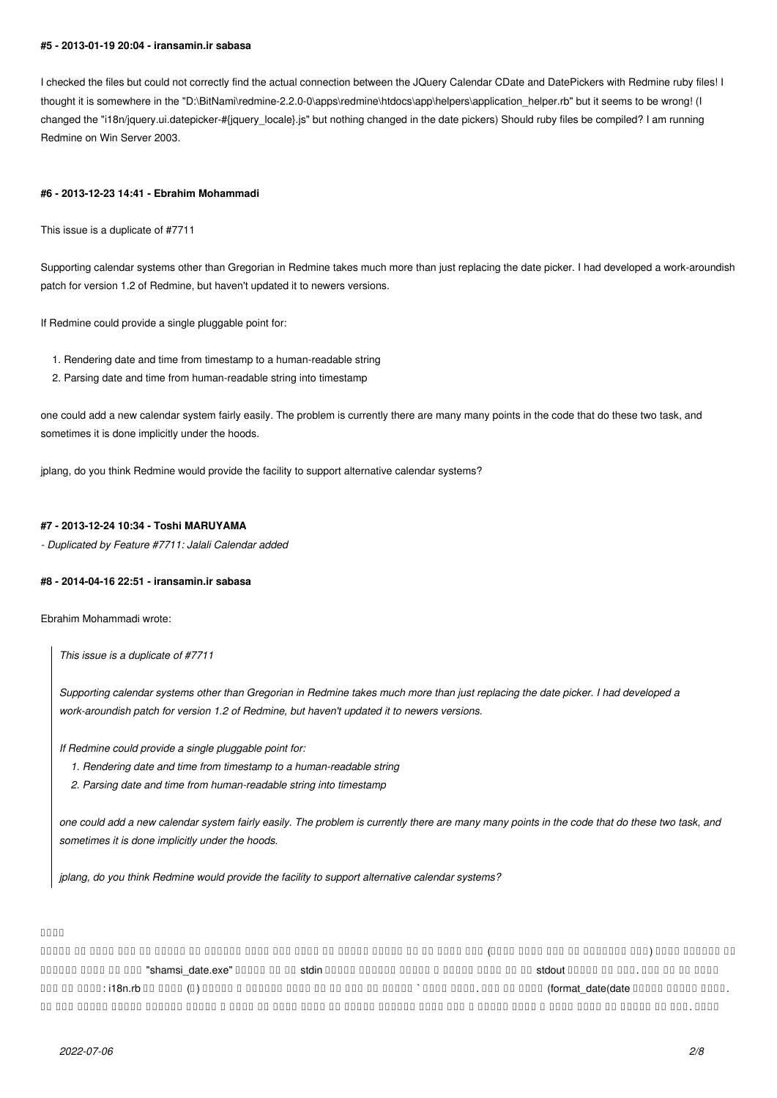#### **#5 - 2013-01-19 20:04 - iransamin.ir sabasa**

I checked the files but could not correctly find the actual connection between the JQuery Calendar CDate and DatePickers with Redmine ruby files! I thought it is somewhere in the "D:\BitNami\redmine-2.2.0-0\apps\redmine\htdocs\app\helpers\application\_helper.rb" but it seems to be wrong! (I changed the "i18n/jquery.ui.datepicker-#{jquery\_locale}.js" but nothing changed in the date pickers) Should ruby files be compiled? I am running Redmine on Win Server 2003.

#### **#6 - 2013-12-23 14:41 - Ebrahim Mohammadi**

This issue is a duplicate of #7711

Supporting calendar systems other than Gregorian in Redmine takes much more than just replacing the date picker. I had developed a work-aroundish patch for version 1.2 of Redmine, but haven't updated it to newers versions.

If Redmine could provide a single pluggable point for:

- 1. Rendering date and time from timestamp to a human-readable string
- 2. Parsing date and time from human-readable string into timestamp

one could add a new calendar system fairly easily. The problem is currently there are many many points in the code that do these two task, and sometimes it is done implicitly under the hoods.

jplang, do you think Redmine would provide the facility to support alternative calendar systems?

#### **#7 - 2013-12-24 10:34 - Toshi MARUYAMA**

*- Duplicated by Feature #7711: Jalali Calendar added*

#### **#8 - 2014-04-16 22:51 - iransamin.ir sabasa**

Ebrahim Mohammadi wrote:

*This issue is a duplicate of #7711*

*Supporting calendar systems other than Gregorian in Redmine takes much more than just replacing the date picker. I had developed a work-aroundish patch for version 1.2 of Redmine, but haven't updated it to newers versions.*

*If Redmine could provide a single pluggable point for:*

- *1. Rendering date and time from timestamp to a human-readable string*
- *2. Parsing date and time from human-readable string into timestamp*

*one could add a new calendar system fairly easily. The problem is currently there are many many points in the code that do these two task, and sometimes it is done implicitly under the hoods.*

*jplang, do you think Redmine would provide the facility to support alternative calendar systems?*

#### مالس

کی وارد نیامون و امش تساون در ومین میکنیم یارب است. این کشون و این کشون امش تساون به خیر شیافت که نشان است که شش<br>این مدت اروپا و است که شخصی شدن است که از اهال مدت و است که اب مدت و اب مدت و نتش قوم نمایش قوم نمایش اب هستن adoon oo oo oo oo "shamsi date.exe" 00000 00 00 stdin 00000 00000 00000 00000 0000 00 00 stdout 00000 00 000.000 00 0000 .مداد یکچوک رییغت date(date\_format (سالک رد سپس .مداد رارق ` تمالع ود نیب رد ار یفلد همانرب و متشون (؟) سالک کی rb.n18i :لیاف زا صاخ سالک .دوش یم لاسرا نآ یارب تعاس و یسمش خیرات و هدش یفلد همانرب یارجا هب رجنم رورس رد تعاس و خیرات ندناوخ رابره بیترت نیا هب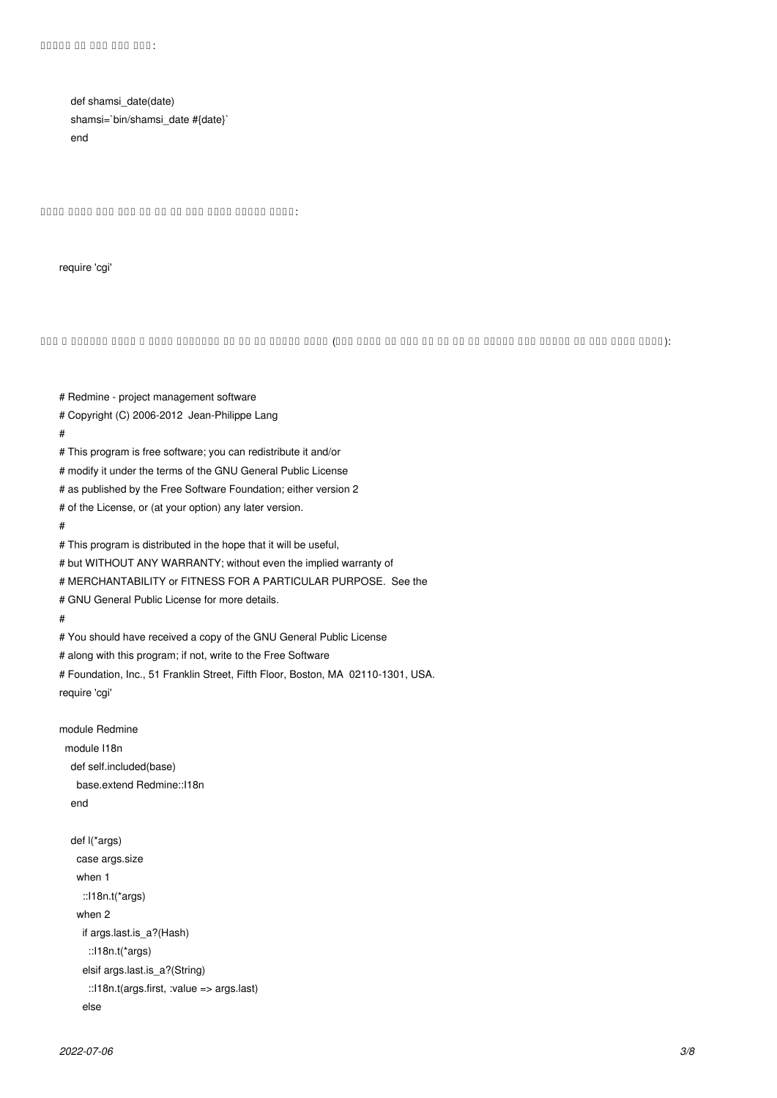def shamsi\_date(date) shamsi=`bin/shamsi\_date #{date}` end

:دینک هفاضا لیاف لوا هب ار طخ نیا تسا مزال انمض

# Redmine - project management software

require 'cgi'

:(دوبن مزال نوچ ما هدرکن یپک اجنیا رد نم ار دک همه هک دینک تقد) هدمآ نییاپ رد نآ زا هدافتسا هوحن و سالک تیعقوم و لحم

# Copyright (C) 2006-2012 Jean-Philippe Lang # # This program is free software; you can redistribute it and/or # modify it under the terms of the GNU General Public License # as published by the Free Software Foundation; either version 2 # of the License, or (at your option) any later version. # # This program is distributed in the hope that it will be useful, # but WITHOUT ANY WARRANTY; without even the implied warranty of # MERCHANTABILITY or FITNESS FOR A PARTICULAR PURPOSE. See the # GNU General Public License for more details. # # You should have received a copy of the GNU General Public License # along with this program; if not, write to the Free Software # Foundation, Inc., 51 Franklin Street, Fifth Floor, Boston, MA 02110-1301, USA. require 'cgi' module Redmine module I18n def self.included(base) base.extend Redmine::I18n end def l(\*args) case args.size when 1 ::I18n.t(\*args) when 2 if args.last.is\_a?(Hash) ::I18n.t(\*args) elsif args.last.is\_a?(String) ::I18n.t(args.first, :value => args.last) else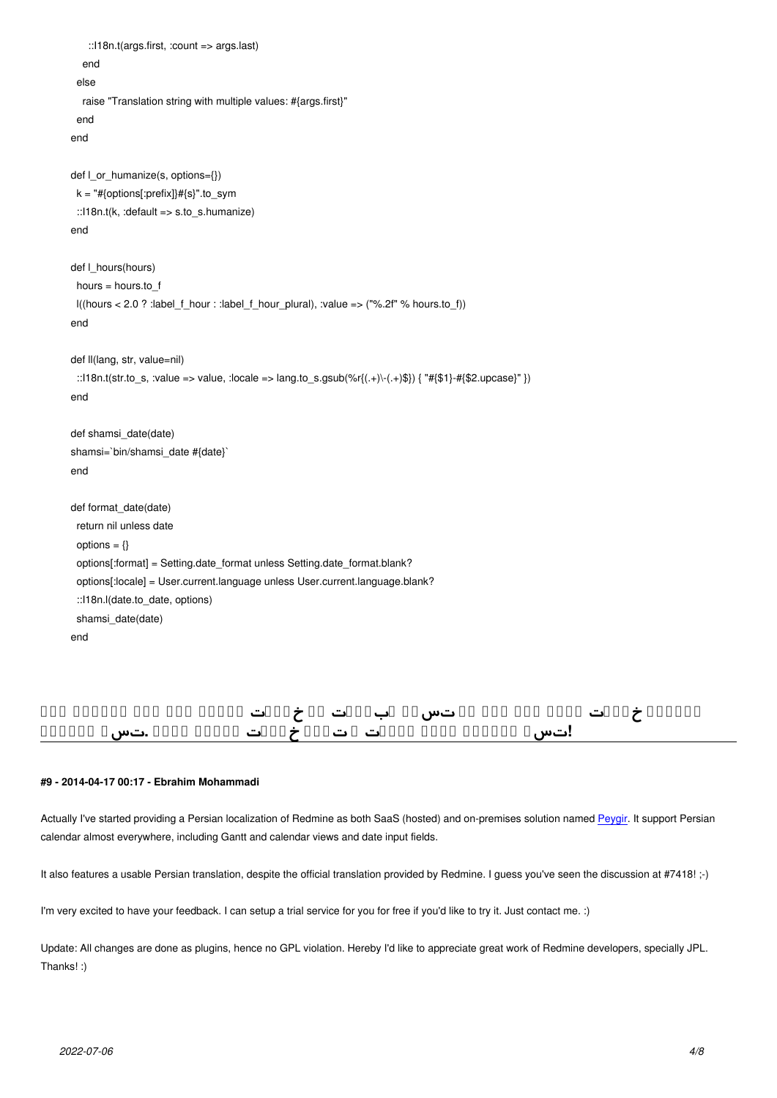```
 end
  else
   raise "Translation string with multiple values: #{args.first}" 
  end
 end
def l_or_humanize(s, options={})
  k = "#{options[:prefix]}#{s}".to_sym
  ::I18n.t(k, :default => s.to_s.humanize)
 end
 def l_hours(hours)
  hours = hours.to_f
  l((hours < 2.0 ? :label_f_hour : :label_f_hour_plural), :value => ("%.2f" % hours.to_f))
 end
 def ll(lang, str, value=nil)
 ::l18n.t(str.to_s, :value => value, :locale => lang.to_s.gsub(%r{(.+)\-(.+)$}) { "#{$1}-#{$2.upcase}" })
 end
 def shamsi_date(date)
 shamsi=`bin/shamsi_date #{date}`
 end
 def format_date(date)
  return nil unless date
 options = \{\} options[:format] = Setting.date_format unless Setting.date_format.blank?
  options[:locale] = User.current.language unless User.current.language.blank?
  ::I18n.l(date.to_date, options)
 shamsi date(date)
 end
```
# **نانچمه خیرات دورو یلو دنک یم تسرد ابیرقت ار خیرات شیامن فرط طقف راکنیا اما !تسا یدالیم زونه میوقت و تناگ خیرات شیامن انمض .تسا یدالیم**

#### **#9 - 2014-04-17 00:17 - Ebrahim Mohammadi**

Actually I've started providing a Persian localization of Redmine as both SaaS (hosted) and on-premises solution named Peygir. It support Persian calendar almost everywhere, including Gantt and calendar views and date input fields.

It also features a usable Persian translation, despite the official translation provided by Redmine. I guess you've seen th[e discus](https://peygir.com)sion at #7418! ;-)

I'm very excited to have your feedback. I can setup a trial service for you for free if you'd like to try it. Just contact me. :)

Update: All changes are done as plugins, hence no GPL violation. Hereby I'd like to appreciate great work of Redmine developers, specially JPL. Thanks! :)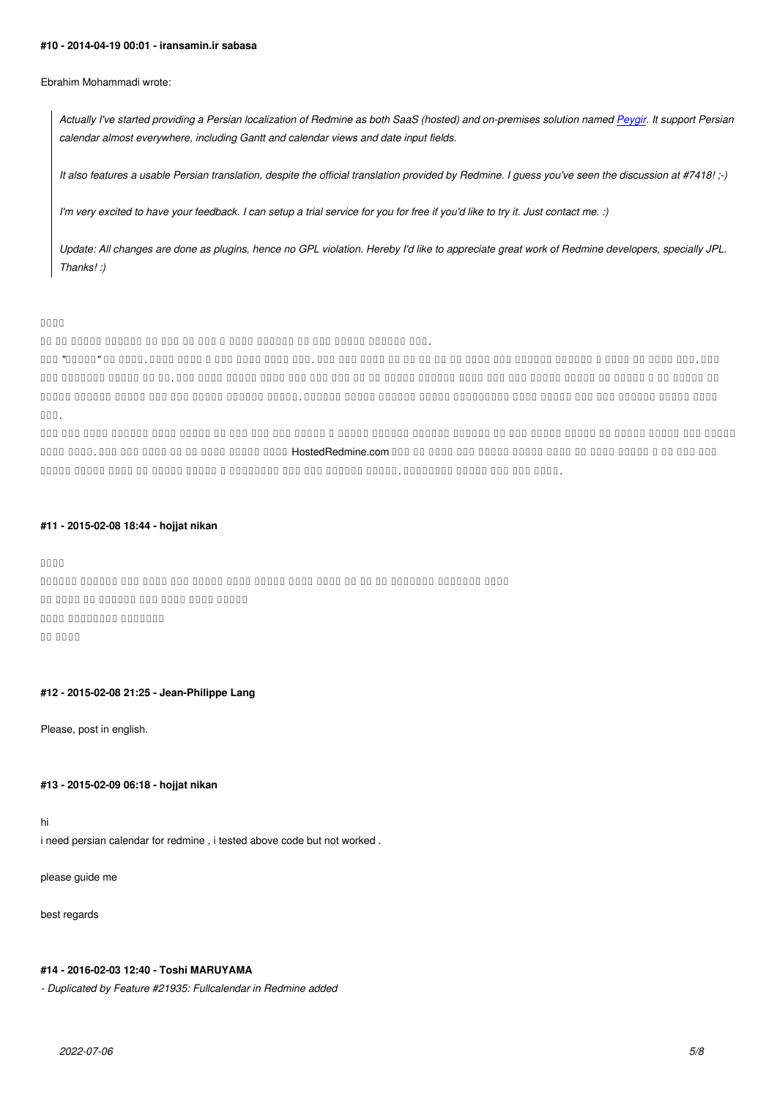*Actually I've started providing a Persian localization of Redmine as both SaaS (hosted) and on-premises solution named Peygir. It support Persian calendar almost everywhere, including Gantt and calendar views and date input fields.*

*It also features a usable Persian translation, despite the official translation provided by Redmine. I guess you've seen th[e discus](https://peygir.net)sion at #7418! ;-)*

*I'm very excited to have your feedback. I can setup a trial service for you for free if you'd like to try it. Just contact me. :)*

*Update: All changes are done as plugins, hence no GPL violation. Hereby I'd like to appreciate great work of Redmine developers, specially JPL. Thanks! :)*

#### مالس

.منک تیلاعف هنیمز نیا رد ناتسود ریاس و امش اب موش یم لاحشوخ رایسب مه نم

ایآ .درک باسح نآ شورف و هیامرس تشگزاب یور ناوت یم دح هچ ات هک مناد یمن اما .تسا یبوخ یلیخ راک و هدیا رظنب .مدید ار "ریگیپ" نتم  $\,$ ם מספרים מספרים מספרים מספרים של המספר מספר מספרים מספרים מספרים מספרים מספרים מספרים מספרים מספרים מספרים מספר فیعض رایسب یرازفا مرن یاه هژورپ یارب درادناتسا هژورپ تیریدم گنهرف نینچمه .دنتسه هناگیب رایسب زاب نتم یسیون همانرب گنهرف .تسا

رازفا مرن دیلوت هنیمز رد یجیسب یتکرح یوس هب یناریا ناسیون همانرب قیوشت و گنهرف نیا دشر تهج رد یوحنب دیاب مدقتعم ریقح نیا اذل and and the standard of a statement and the second theorem and the second of the state of and a statement of a . היום המנחה מספר מספר המנחה משפח המנחה המנחה המנחה המנחה המנחה המנחה המנחה המנחה המנחה והמנחה המנחה המנחה המממ

### **#11 - 2015-02-08 18:44 - hojjat nikan**

مالس

مین مینکند و همان مه اما ها و ها هم های های های میناوتن باشد. این خیرات نیز خیرات نیز خیرات نیز خیرات نیز خیرا on onna an annana ann anna anna annan  $000000000000000$ رکشت اب

### **#12 - 2015-02-08 21:25 - Jean-Philippe Lang**

Please, post in english.

#### **#13 - 2015-02-09 06:18 - hojjat nikan**

hi

i need persian calendar for redmine , i tested above code but not worked .

please guide me

best regards

#### **#14 - 2016-02-03 12:40 - Toshi MARUYAMA**

*- Duplicated by Feature #21935: Fullcalendar in Redmine added*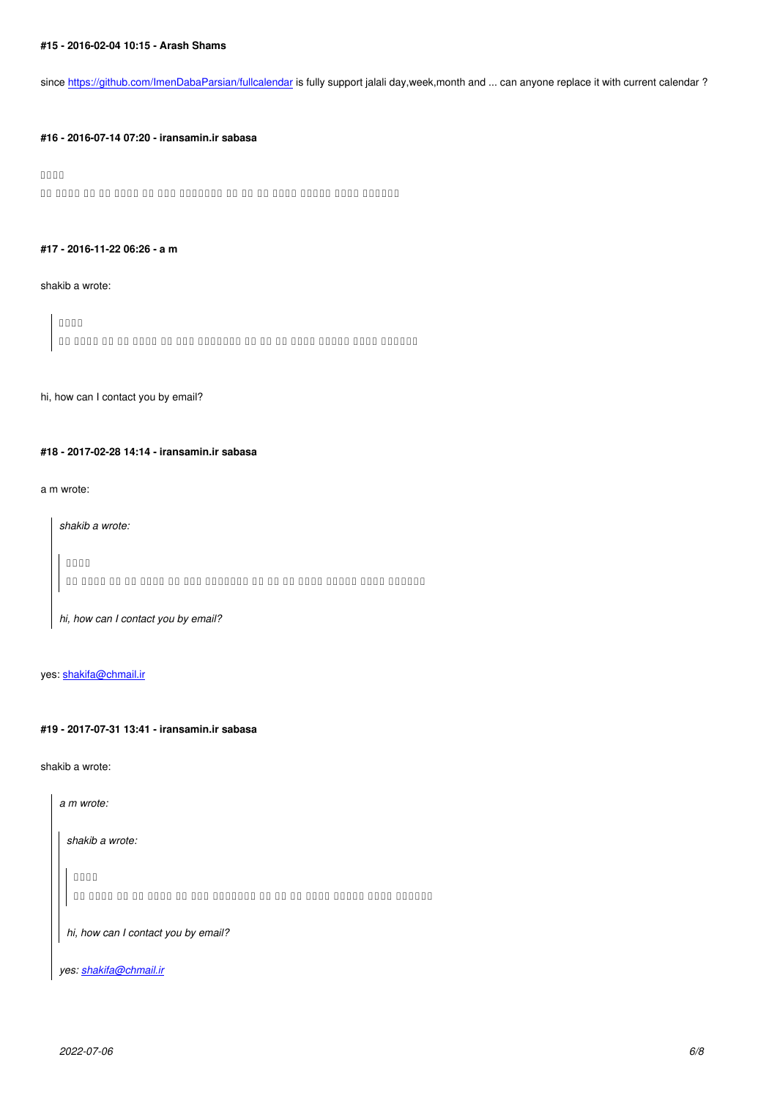since https://github.com/ImenDabaParsian/fullcalendar is fully support jalali day,week,month and ... can anyone replace it with current calendar ?

#### **#16 - [2016-07-14 07:20 - iransamin.ir sabasa](https://github.com/ImenDabaParsian/fullcalendar)**

# مالس

an anno an an anno an ann anno an an an an anno anno anno anno anno anno anno anno an an an an an an an an ann

#### **#17 - 2016-11-22 06:26 - a m**

#### shakib a wrote:

*مالس دیریگب سامت لیمیا قیرط زا نم اب دیتساوخ هگا ما هدرک لح ار لکشم نم*

#### hi, how can I contact you by email?

# **#18 - 2017-02-28 14:14 - iransamin.ir sabasa**

# a m wrote:

*shakib a wrote: مالس دیریگب سامت لیمیا قیرط زا نم اب دیتساوخ هگا ما هدرک لح ار لکشم نم*

*hi, how can I contact you by email?*

# yes: shakifa@chmail.ir

#### **#19 [- 2017-07-31 13:41](mailto:shakifa@chmail.ir) - iransamin.ir sabasa**

shakib a wrote:

*a m wrote: shakib a wrote: مالس*

*دیریگب سامت لیمیا قیرط زا نم اب دیتساوخ هگا ما هدرک لح ار لکشم نم*

*hi, how can I contact you by email?*

*yes: shakifa@chmail.ir*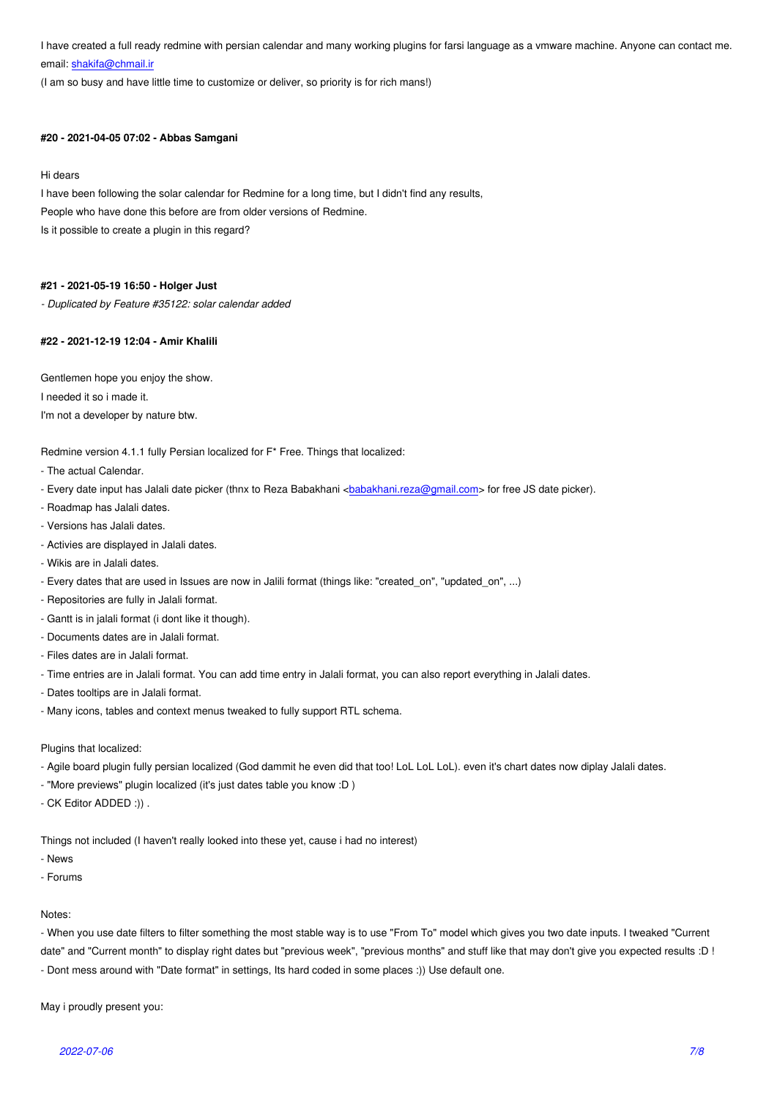email: **shakifa@chmail.ir** 

(I am so busy and have little time to customize or deliver, so priority is for rich mans!)

#### **#20 - [2021-04-05 07:02 -](mailto:shakifa@chmail.ir) Abbas Samgani**

#### Hi dears

I have been following the solar calendar for Redmine for a long time, but I didn't find any results, People who have done this before are from older versions of Redmine. Is it possible to create a plugin in this regard?

### **#21 - 2021-05-19 16:50 - Holger Just**

*- Duplicated by Feature #35122: solar calendar added*

#### **#22 - 2021-12-19 12:04 - Amir Khalili**

Gentlemen hope you enjoy the show.

I needed it so i made it.

I'm not a developer by nature btw.

Redmine version 4.1.1 fully Persian localized for F\* Free. Things that localized:

- The actual Calendar.
- Every date input has Jalali date picker (thnx to Reza Babakhani <babakhani.reza@gmail.com> for free JS date picker).
- Roadmap has Jalali dates.
- Versions has Jalali dates.
- Activies are displayed in Jalali dates.
- Wikis are in Jalali dates.
- Every dates that are used in Issues are now in Jalili format (things like: "created\_on", "updated\_on", ...)
- Repositories are fully in Jalali format.
- Gantt is in jalali format (i dont like it though).
- Documents dates are in Jalali format.
- Files dates are in Jalali format.
- Time entries are in Jalali format. You can add time entry in Jalali format, you can also report everything in Jalali dates.
- Dates tooltips are in Jalali format.
- Many icons, tables and context menus tweaked to fully support RTL schema.

#### Plugins that localized:

- Agile board plugin fully persian localized (God dammit he even did that too! LoL LoL LoL). even it's chart dates now diplay Jalali dates.
- "More previews" plugin localized (it's just dates table you know :D )
- CK Editor ADDED :)) .

Things not included (I haven't really looked into these yet, cause i had no interest)

- News
- Forums

#### Notes:

- When you use date filters to filter something the most stable way is to use "From To" model which gives you two date inputs. I tweaked "Current date" and "Current month" to display right dates but "previous week", "previous months" and stuff like that may don't give you expected results :D ! - Dont mess around with "Date format" in settings, Its hard coded in some places :)) Use default one.

May i proudly present you: